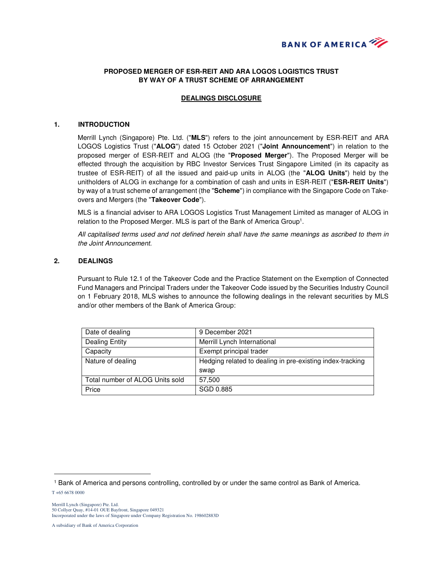

# **PROPOSED MERGER OF ESR-REIT AND ARA LOGOS LOGISTICS TRUST BY WAY OF A TRUST SCHEME OF ARRANGEMENT**

## **DEALINGS DISCLOSURE**

#### **1. INTRODUCTION**

Merrill Lynch (Singapore) Pte. Ltd. ("**MLS**") refers to the joint announcement by ESR-REIT and ARA LOGOS Logistics Trust ("**ALOG**") dated 15 October 2021 ("**Joint Announcement**") in relation to the proposed merger of ESR-REIT and ALOG (the "**Proposed Merger**"). The Proposed Merger will be effected through the acquisition by RBC Investor Services Trust Singapore Limited (in its capacity as trustee of ESR-REIT) of all the issued and paid-up units in ALOG (the "**ALOG Units**") held by the unitholders of ALOG in exchange for a combination of cash and units in ESR-REIT ("**ESR-REIT Units**") by way of a trust scheme of arrangement (the "**Scheme**") in compliance with the Singapore Code on Takeovers and Mergers (the "**Takeover Code**").

MLS is a financial adviser to ARA LOGOS Logistics Trust Management Limited as manager of ALOG in relation to the Proposed Merger. MLS is part of the Bank of America Group<sup>1</sup>.

All capitalised terms used and not defined herein shall have the same meanings as ascribed to them in the Joint Announcement.

### **2. DEALINGS**

Pursuant to Rule 12.1 of the Takeover Code and the Practice Statement on the Exemption of Connected Fund Managers and Principal Traders under the Takeover Code issued by the Securities Industry Council on 1 February 2018, MLS wishes to announce the following dealings in the relevant securities by MLS and/or other members of the Bank of America Group:

| Date of dealing                 | 9 December 2021                                           |
|---------------------------------|-----------------------------------------------------------|
| <b>Dealing Entity</b>           | Merrill Lynch International                               |
| Capacity                        | Exempt principal trader                                   |
| Nature of dealing               | Hedging related to dealing in pre-existing index-tracking |
|                                 | swap                                                      |
| Total number of ALOG Units sold | 57,500                                                    |
| Price                           | SGD 0.885                                                 |

 $\overline{a}$ 

<sup>1</sup> Bank of America and persons controlling, controlled by or under the same control as Bank of America.

T +65 6678 0000